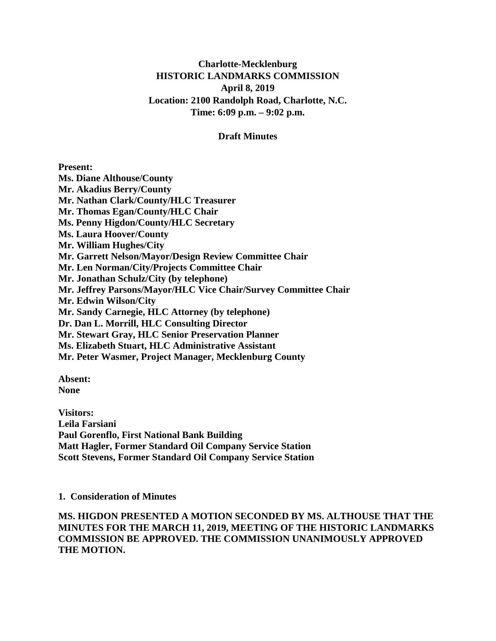## **Charlotte-Mecklenburg HISTORIC LANDMARKS COMMISSION April 8, 2019 Location: 2100 Randolph Road, Charlotte, N.C. Time: 6:09 p.m. – 9:02 p.m.**

### **Draft Minutes**

#### **Present:**

**Ms. Diane Althouse/County Mr. Akadius Berry/County Mr. Nathan Clark/County/HLC Treasurer Mr. Thomas Egan/County/HLC Chair Ms. Penny Higdon/County/HLC Secretary Ms. Laura Hoover/County Mr. William Hughes/City Mr. Garrett Nelson/Mayor/Design Review Committee Chair Mr. Len Norman/City/Projects Committee Chair Mr. Jonathan Schulz/City (by telephone) Mr. Jeffrey Parsons/Mayor/HLC Vice Chair/Survey Committee Chair Mr. Edwin Wilson/City Mr. Sandy Carnegie, HLC Attorney (by telephone) Dr. Dan L. Morrill, HLC Consulting Director Mr. Stewart Gray, HLC Senior Preservation Planner Ms. Elizabeth Stuart, HLC Administrative Assistant Mr. Peter Wasmer, Project Manager, Mecklenburg County**

**Absent: None**

**Visitors: Leila Farsiani Paul Gorenflo, First National Bank Building Matt Hagler, Former Standard Oil Company Service Station Scott Stevens, Former Standard Oil Company Service Station**

**1. Consideration of Minutes**

**MS. HIGDON PRESENTED A MOTION SECONDED BY MS. ALTHOUSE THAT THE MINUTES FOR THE MARCH 11, 2019, MEETING OF THE HISTORIC LANDMARKS COMMISSION BE APPROVED. THE COMMISSION UNANIMOUSLY APPROVED THE MOTION.**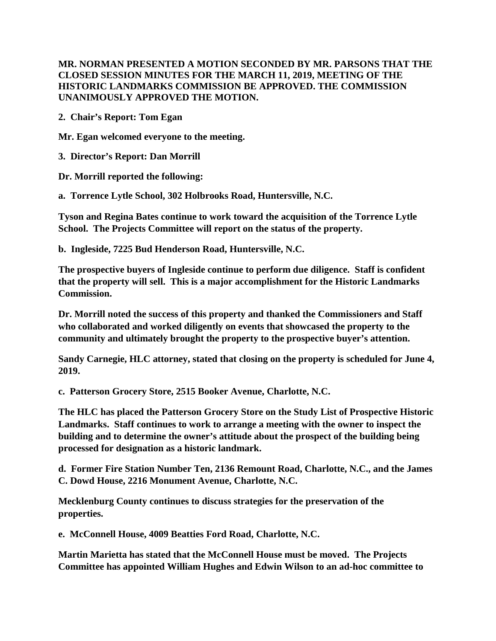## **MR. NORMAN PRESENTED A MOTION SECONDED BY MR. PARSONS THAT THE CLOSED SESSION MINUTES FOR THE MARCH 11, 2019, MEETING OF THE HISTORIC LANDMARKS COMMISSION BE APPROVED. THE COMMISSION UNANIMOUSLY APPROVED THE MOTION.**

**2. Chair's Report: Tom Egan**

**Mr. Egan welcomed everyone to the meeting.** 

**3. Director's Report: Dan Morrill**

**Dr. Morrill reported the following:**

**a. Torrence Lytle School, 302 Holbrooks Road, Huntersville, N.C.**

**Tyson and Regina Bates continue to work toward the acquisition of the Torrence Lytle School. The Projects Committee will report on the status of the property.**

**b. Ingleside, 7225 Bud Henderson Road, Huntersville, N.C.**

**The prospective buyers of Ingleside continue to perform due diligence. Staff is confident that the property will sell. This is a major accomplishment for the Historic Landmarks Commission.**

**Dr. Morrill noted the success of this property and thanked the Commissioners and Staff who collaborated and worked diligently on events that showcased the property to the community and ultimately brought the property to the prospective buyer's attention.**

**Sandy Carnegie, HLC attorney, stated that closing on the property is scheduled for June 4, 2019.**

**c. Patterson Grocery Store, 2515 Booker Avenue, Charlotte, N.C.** 

**The HLC has placed the Patterson Grocery Store on the Study List of Prospective Historic Landmarks. Staff continues to work to arrange a meeting with the owner to inspect the building and to determine the owner's attitude about the prospect of the building being processed for designation as a historic landmark.**

**d. Former Fire Station Number Ten, 2136 Remount Road, Charlotte, N.C., and the James C. Dowd House, 2216 Monument Avenue, Charlotte, N.C.**

**Mecklenburg County continues to discuss strategies for the preservation of the properties.** 

**e. McConnell House, 4009 Beatties Ford Road, Charlotte, N.C.** 

**Martin Marietta has stated that the McConnell House must be moved. The Projects Committee has appointed William Hughes and Edwin Wilson to an ad-hoc committee to**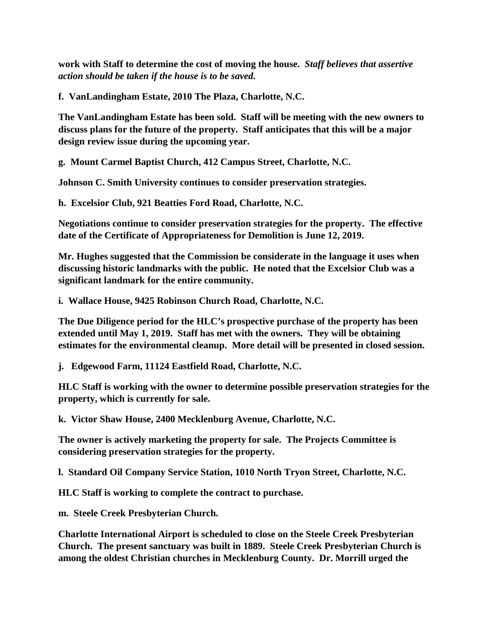**work with Staff to determine the cost of moving the house.** *Staff believes that assertive action should be taken if the house is to be saved.*

**f. VanLandingham Estate, 2010 The Plaza, Charlotte, N.C.**

**The VanLandingham Estate has been sold. Staff will be meeting with the new owners to discuss plans for the future of the property. Staff anticipates that this will be a major design review issue during the upcoming year.**

**g. Mount Carmel Baptist Church, 412 Campus Street, Charlotte, N.C.**

**Johnson C. Smith University continues to consider preservation strategies.**

**h. Excelsior Club, 921 Beatties Ford Road, Charlotte, N.C.**

**Negotiations continue to consider preservation strategies for the property. The effective date of the Certificate of Appropriateness for Demolition is June 12, 2019.**

**Mr. Hughes suggested that the Commission be considerate in the language it uses when discussing historic landmarks with the public. He noted that the Excelsior Club was a significant landmark for the entire community.**

**i. Wallace House, 9425 Robinson Church Road, Charlotte, N.C.**

**The Due Diligence period for the HLC's prospective purchase of the property has been extended until May 1, 2019. Staff has met with the owners. They will be obtaining estimates for the environmental cleanup. More detail will be presented in closed session.**

**j. Edgewood Farm, 11124 Eastfield Road, Charlotte, N.C.**

**HLC Staff is working with the owner to determine possible preservation strategies for the property, which is currently for sale.**

**k. Victor Shaw House, 2400 Mecklenburg Avenue, Charlotte, N.C.**

**The owner is actively marketing the property for sale. The Projects Committee is considering preservation strategies for the property.**

**l. Standard Oil Company Service Station, 1010 North Tryon Street, Charlotte, N.C.**

**HLC Staff is working to complete the contract to purchase.**

**m. Steele Creek Presbyterian Church.**

**Charlotte International Airport is scheduled to close on the Steele Creek Presbyterian Church. The present sanctuary was built in 1889. Steele Creek Presbyterian Church is among the oldest Christian churches in Mecklenburg County. Dr. Morrill urged the**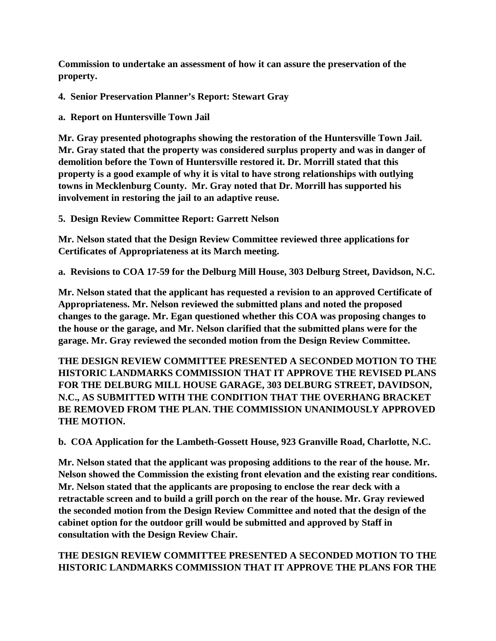**Commission to undertake an assessment of how it can assure the preservation of the property.**

**4. Senior Preservation Planner's Report: Stewart Gray**

**a. Report on Huntersville Town Jail**

**Mr. Gray presented photographs showing the restoration of the Huntersville Town Jail. Mr. Gray stated that the property was considered surplus property and was in danger of demolition before the Town of Huntersville restored it. Dr. Morrill stated that this property is a good example of why it is vital to have strong relationships with outlying towns in Mecklenburg County. Mr. Gray noted that Dr. Morrill has supported his involvement in restoring the jail to an adaptive reuse.**

**5. Design Review Committee Report: Garrett Nelson**

**Mr. Nelson stated that the Design Review Committee reviewed three applications for Certificates of Appropriateness at its March meeting.**

**a. Revisions to COA 17-59 for the Delburg Mill House, 303 Delburg Street, Davidson, N.C.**

**Mr. Nelson stated that the applicant has requested a revision to an approved Certificate of Appropriateness. Mr. Nelson reviewed the submitted plans and noted the proposed changes to the garage. Mr. Egan questioned whether this COA was proposing changes to the house or the garage, and Mr. Nelson clarified that the submitted plans were for the garage. Mr. Gray reviewed the seconded motion from the Design Review Committee.** 

**THE DESIGN REVIEW COMMITTEE PRESENTED A SECONDED MOTION TO THE HISTORIC LANDMARKS COMMISSION THAT IT APPROVE THE REVISED PLANS FOR THE DELBURG MILL HOUSE GARAGE, 303 DELBURG STREET, DAVIDSON, N.C., AS SUBMITTED WITH THE CONDITION THAT THE OVERHANG BRACKET BE REMOVED FROM THE PLAN. THE COMMISSION UNANIMOUSLY APPROVED THE MOTION.**

**b. COA Application for the Lambeth-Gossett House, 923 Granville Road, Charlotte, N.C.**

**Mr. Nelson stated that the applicant was proposing additions to the rear of the house. Mr. Nelson showed the Commission the existing front elevation and the existing rear conditions. Mr. Nelson stated that the applicants are proposing to enclose the rear deck with a retractable screen and to build a grill porch on the rear of the house. Mr. Gray reviewed the seconded motion from the Design Review Committee and noted that the design of the cabinet option for the outdoor grill would be submitted and approved by Staff in consultation with the Design Review Chair.** 

# **THE DESIGN REVIEW COMMITTEE PRESENTED A SECONDED MOTION TO THE HISTORIC LANDMARKS COMMISSION THAT IT APPROVE THE PLANS FOR THE**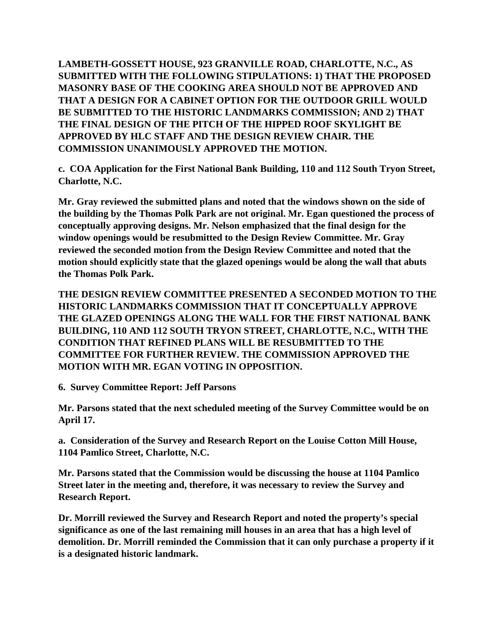**LAMBETH-GOSSETT HOUSE, 923 GRANVILLE ROAD, CHARLOTTE, N.C., AS SUBMITTED WITH THE FOLLOWING STIPULATIONS: 1) THAT THE PROPOSED MASONRY BASE OF THE COOKING AREA SHOULD NOT BE APPROVED AND THAT A DESIGN FOR A CABINET OPTION FOR THE OUTDOOR GRILL WOULD BE SUBMITTED TO THE HISTORIC LANDMARKS COMMISSION; AND 2) THAT THE FINAL DESIGN OF THE PITCH OF THE HIPPED ROOF SKYLIGHT BE APPROVED BY HLC STAFF AND THE DESIGN REVIEW CHAIR. THE COMMISSION UNANIMOUSLY APPROVED THE MOTION.**

**c. COA Application for the First National Bank Building, 110 and 112 South Tryon Street, Charlotte, N.C.**

**Mr. Gray reviewed the submitted plans and noted that the windows shown on the side of the building by the Thomas Polk Park are not original. Mr. Egan questioned the process of conceptually approving designs. Mr. Nelson emphasized that the final design for the window openings would be resubmitted to the Design Review Committee. Mr. Gray reviewed the seconded motion from the Design Review Committee and noted that the motion should explicitly state that the glazed openings would be along the wall that abuts the Thomas Polk Park.** 

**THE DESIGN REVIEW COMMITTEE PRESENTED A SECONDED MOTION TO THE HISTORIC LANDMARKS COMMISSION THAT IT CONCEPTUALLY APPROVE THE GLAZED OPENINGS ALONG THE WALL FOR THE FIRST NATIONAL BANK BUILDING, 110 AND 112 SOUTH TRYON STREET, CHARLOTTE, N.C., WITH THE CONDITION THAT REFINED PLANS WILL BE RESUBMITTED TO THE COMMITTEE FOR FURTHER REVIEW. THE COMMISSION APPROVED THE MOTION WITH MR. EGAN VOTING IN OPPOSITION.**

**6. Survey Committee Report: Jeff Parsons**

**Mr. Parsons stated that the next scheduled meeting of the Survey Committee would be on April 17.** 

**a. Consideration of the Survey and Research Report on the Louise Cotton Mill House, 1104 Pamlico Street, Charlotte, N.C.**

**Mr. Parsons stated that the Commission would be discussing the house at 1104 Pamlico Street later in the meeting and, therefore, it was necessary to review the Survey and Research Report.** 

**Dr. Morrill reviewed the Survey and Research Report and noted the property's special significance as one of the last remaining mill houses in an area that has a high level of demolition. Dr. Morrill reminded the Commission that it can only purchase a property if it is a designated historic landmark.**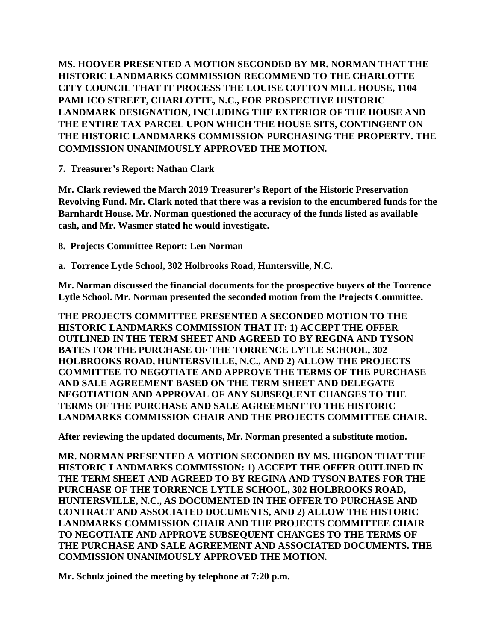**MS. HOOVER PRESENTED A MOTION SECONDED BY MR. NORMAN THAT THE HISTORIC LANDMARKS COMMISSION RECOMMEND TO THE CHARLOTTE CITY COUNCIL THAT IT PROCESS THE LOUISE COTTON MILL HOUSE, 1104 PAMLICO STREET, CHARLOTTE, N.C., FOR PROSPECTIVE HISTORIC LANDMARK DESIGNATION, INCLUDING THE EXTERIOR OF THE HOUSE AND THE ENTIRE TAX PARCEL UPON WHICH THE HOUSE SITS, CONTINGENT ON THE HISTORIC LANDMARKS COMMISSION PURCHASING THE PROPERTY. THE COMMISSION UNANIMOUSLY APPROVED THE MOTION.**

**7. Treasurer's Report: Nathan Clark** 

**Mr. Clark reviewed the March 2019 Treasurer's Report of the Historic Preservation Revolving Fund. Mr. Clark noted that there was a revision to the encumbered funds for the Barnhardt House. Mr. Norman questioned the accuracy of the funds listed as available cash, and Mr. Wasmer stated he would investigate.** 

**8. Projects Committee Report: Len Norman**

**a. Torrence Lytle School, 302 Holbrooks Road, Huntersville, N.C.**

**Mr. Norman discussed the financial documents for the prospective buyers of the Torrence Lytle School. Mr. Norman presented the seconded motion from the Projects Committee.** 

**THE PROJECTS COMMITTEE PRESENTED A SECONDED MOTION TO THE HISTORIC LANDMARKS COMMISSION THAT IT: 1) ACCEPT THE OFFER OUTLINED IN THE TERM SHEET AND AGREED TO BY REGINA AND TYSON BATES FOR THE PURCHASE OF THE TORRENCE LYTLE SCHOOL, 302 HOLBROOKS ROAD, HUNTERSVILLE, N.C., AND 2) ALLOW THE PROJECTS COMMITTEE TO NEGOTIATE AND APPROVE THE TERMS OF THE PURCHASE AND SALE AGREEMENT BASED ON THE TERM SHEET AND DELEGATE NEGOTIATION AND APPROVAL OF ANY SUBSEQUENT CHANGES TO THE TERMS OF THE PURCHASE AND SALE AGREEMENT TO THE HISTORIC LANDMARKS COMMISSION CHAIR AND THE PROJECTS COMMITTEE CHAIR.**

**After reviewing the updated documents, Mr. Norman presented a substitute motion.**

**MR. NORMAN PRESENTED A MOTION SECONDED BY MS. HIGDON THAT THE HISTORIC LANDMARKS COMMISSION: 1) ACCEPT THE OFFER OUTLINED IN THE TERM SHEET AND AGREED TO BY REGINA AND TYSON BATES FOR THE PURCHASE OF THE TORRENCE LYTLE SCHOOL, 302 HOLBROOKS ROAD, HUNTERSVILLE, N.C., AS DOCUMENTED IN THE OFFER TO PURCHASE AND CONTRACT AND ASSOCIATED DOCUMENTS, AND 2) ALLOW THE HISTORIC LANDMARKS COMMISSION CHAIR AND THE PROJECTS COMMITTEE CHAIR TO NEGOTIATE AND APPROVE SUBSEQUENT CHANGES TO THE TERMS OF THE PURCHASE AND SALE AGREEMENT AND ASSOCIATED DOCUMENTS. THE COMMISSION UNANIMOUSLY APPROVED THE MOTION.**

**Mr. Schulz joined the meeting by telephone at 7:20 p.m.**